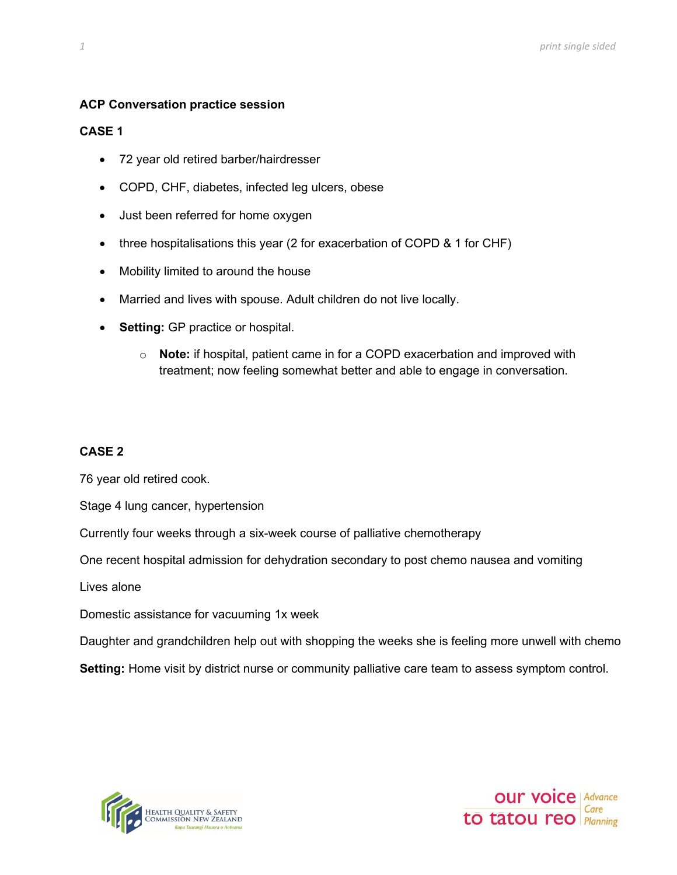### **ACP Conversation practice session**

### **CASE 1**

- 72 year old retired barber/hairdresser
- COPD, CHF, diabetes, infected leg ulcers, obese
- Just been referred for home oxygen
- three hospitalisations this year (2 for exacerbation of COPD & 1 for CHF)
- Mobility limited to around the house
- Married and lives with spouse. Adult children do not live locally.
- **Setting:** GP practice or hospital.
	- o **Note:** if hospital, patient came in for a COPD exacerbation and improved with treatment; now feeling somewhat better and able to engage in conversation.

### **CASE 2**

76 year old retired cook.

Stage 4 lung cancer, hypertension

Currently four weeks through a six-week course of palliative chemotherapy

One recent hospital admission for dehydration secondary to post chemo nausea and vomiting

Lives alone

Domestic assistance for vacuuming 1x week

Daughter and grandchildren help out with shopping the weeks she is feeling more unwell with chemo

**Setting:** Home visit by district nurse or community palliative care team to assess symptom control.



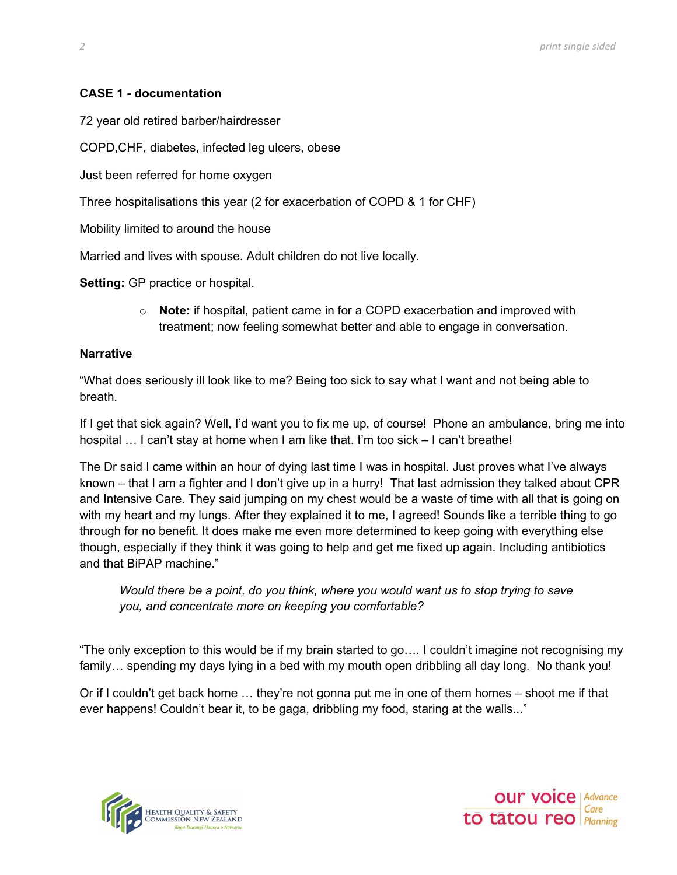# **CASE 1 - documentation**

72 year old retired barber/hairdresser

COPD,CHF, diabetes, infected leg ulcers, obese

Just been referred for home oxygen

Three hospitalisations this year (2 for exacerbation of COPD & 1 for CHF)

Mobility limited to around the house

Married and lives with spouse. Adult children do not live locally.

**Setting:** GP practice or hospital.

o **Note:** if hospital, patient came in for a COPD exacerbation and improved with treatment; now feeling somewhat better and able to engage in conversation.

### **Narrative**

"What does seriously ill look like to me? Being too sick to say what I want and not being able to breath.

If I get that sick again? Well, I'd want you to fix me up, of course! Phone an ambulance, bring me into hospital ... I can't stay at home when I am like that. I'm too sick – I can't breathe!

The Dr said I came within an hour of dying last time I was in hospital. Just proves what I've always known – that I am a fighter and I don't give up in a hurry! That last admission they talked about CPR and Intensive Care. They said jumping on my chest would be a waste of time with all that is going on with my heart and my lungs. After they explained it to me, I agreed! Sounds like a terrible thing to go through for no benefit. It does make me even more determined to keep going with everything else though, especially if they think it was going to help and get me fixed up again. Including antibiotics and that BiPAP machine."

*Would there be a point, do you think, where you would want us to stop trying to save you, and concentrate more on keeping you comfortable?*

"The only exception to this would be if my brain started to go…. I couldn't imagine not recognising my family… spending my days lying in a bed with my mouth open dribbling all day long. No thank you!

Or if I couldn't get back home … they're not gonna put me in one of them homes – shoot me if that ever happens! Couldn't bear it, to be gaga, dribbling my food, staring at the walls..."



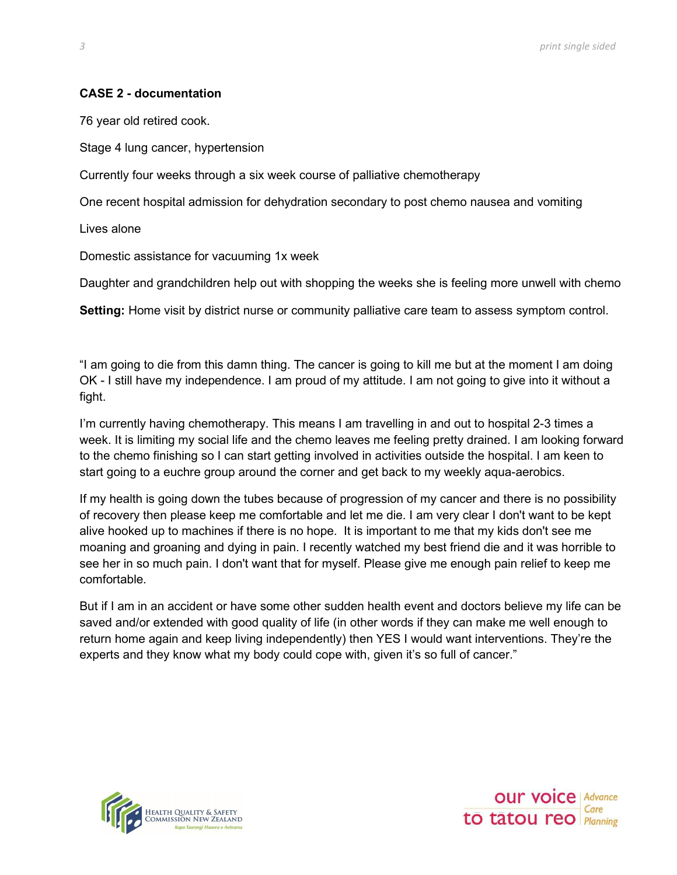## **CASE 2 - documentation**

76 year old retired cook.

Stage 4 lung cancer, hypertension

Currently four weeks through a six week course of palliative chemotherapy

One recent hospital admission for dehydration secondary to post chemo nausea and vomiting

Lives alone

Domestic assistance for vacuuming 1x week

Daughter and grandchildren help out with shopping the weeks she is feeling more unwell with chemo

**Setting:** Home visit by district nurse or community palliative care team to assess symptom control.

"I am going to die from this damn thing. The cancer is going to kill me but at the moment I am doing OK - I still have my independence. I am proud of my attitude. I am not going to give into it without a fight.

I'm currently having chemotherapy. This means I am travelling in and out to hospital 2-3 times a week. It is limiting my social life and the chemo leaves me feeling pretty drained. I am looking forward to the chemo finishing so I can start getting involved in activities outside the hospital. I am keen to start going to a euchre group around the corner and get back to my weekly aqua-aerobics.

If my health is going down the tubes because of progression of my cancer and there is no possibility of recovery then please keep me comfortable and let me die. I am very clear I don't want to be kept alive hooked up to machines if there is no hope. It is important to me that my kids don't see me moaning and groaning and dying in pain. I recently watched my best friend die and it was horrible to see her in so much pain. I don't want that for myself. Please give me enough pain relief to keep me comfortable.

But if I am in an accident or have some other sudden health event and doctors believe my life can be saved and/or extended with good quality of life (in other words if they can make me well enough to return home again and keep living independently) then YES I would want interventions. They're the experts and they know what my body could cope with, given it's so full of cancer."